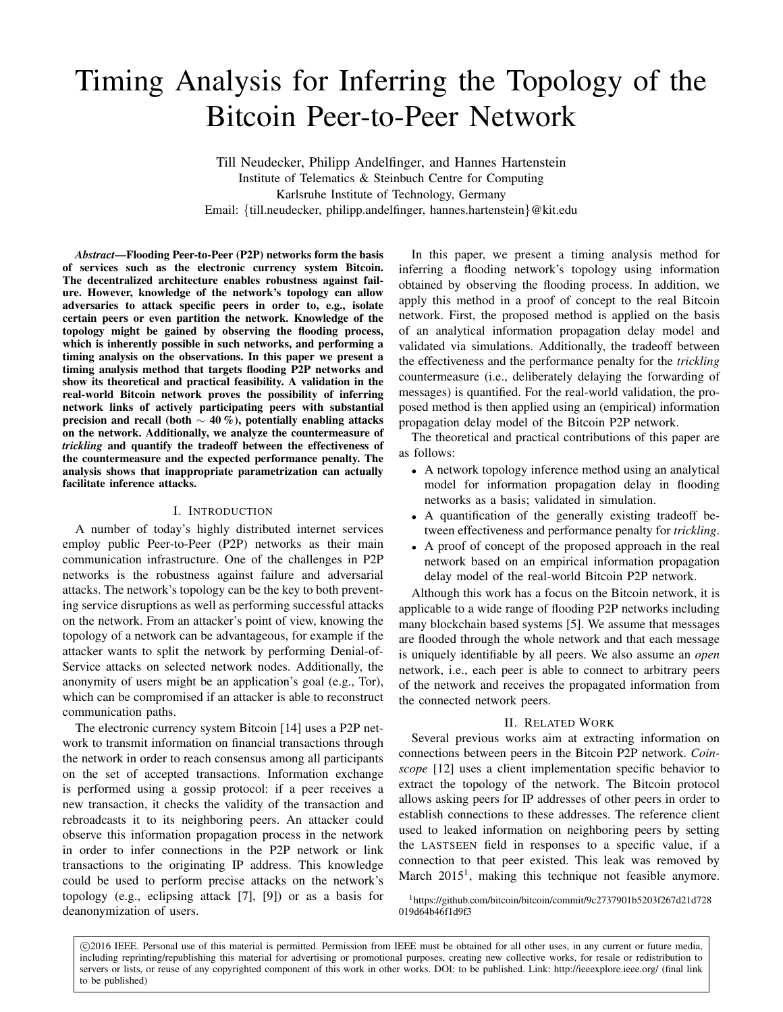# Timing Analysis for Inferring the Topology of the Bitcoin Peer-to-Peer Network

Till Neudecker, Philipp Andelfinger, and Hannes Hartenstein Institute of Telematics & Steinbuch Centre for Computing Karlsruhe Institute of Technology, Germany Email: {till.neudecker, philipp.andelfinger, hannes.hartenstein}@kit.edu

*Abstract*—Flooding Peer-to-Peer (P2P) networks form the basis of services such as the electronic currency system Bitcoin. The decentralized architecture enables robustness against failure. However, knowledge of the network's topology can allow adversaries to attack specific peers in order to, e.g., isolate certain peers or even partition the network. Knowledge of the topology might be gained by observing the flooding process, which is inherently possible in such networks, and performing a timing analysis on the observations. In this paper we present a timing analysis method that targets flooding P2P networks and show its theoretical and practical feasibility. A validation in the real-world Bitcoin network proves the possibility of inferring network links of actively participating peers with substantial precision and recall (both  $\sim$  40 %), potentially enabling attacks on the network. Additionally, we analyze the countermeasure of *trickling* and quantify the tradeoff between the effectiveness of the countermeasure and the expected performance penalty. The analysis shows that inappropriate parametrization can actually facilitate inference attacks.

# I. INTRODUCTION

A number of today's highly distributed internet services employ public Peer-to-Peer (P2P) networks as their main communication infrastructure. One of the challenges in P2P networks is the robustness against failure and adversarial attacks. The network's topology can be the key to both preventing service disruptions as well as performing successful attacks on the network. From an attacker's point of view, knowing the topology of a network can be advantageous, for example if the attacker wants to split the network by performing Denial-of-Service attacks on selected network nodes. Additionally, the anonymity of users might be an application's goal (e.g., Tor), which can be compromised if an attacker is able to reconstruct communication paths.

The electronic currency system Bitcoin [14] uses a P2P network to transmit information on financial transactions through the network in order to reach consensus among all participants on the set of accepted transactions. Information exchange is performed using a gossip protocol: if a peer receives a new transaction, it checks the validity of the transaction and rebroadcasts it to its neighboring peers. An attacker could observe this information propagation process in the network in order to infer connections in the P2P network or link transactions to the originating IP address. This knowledge could be used to perform precise attacks on the network's topology (e.g., eclipsing attack [7], [9]) or as a basis for deanonymization of users.

In this paper, we present a timing analysis method for inferring a flooding network's topology using information obtained by observing the flooding process. In addition, we apply this method in a proof of concept to the real Bitcoin network. First, the proposed method is applied on the basis of an analytical information propagation delay model and validated via simulations. Additionally, the tradeoff between the effectiveness and the performance penalty for the *trickling* countermeasure (i.e., deliberately delaying the forwarding of messages) is quantified. For the real-world validation, the proposed method is then applied using an (empirical) information propagation delay model of the Bitcoin P2P network.

The theoretical and practical contributions of this paper are as follows:

- A network topology inference method using an analytical model for information propagation delay in flooding networks as a basis; validated in simulation.
- A quantification of the generally existing tradeoff between effectiveness and performance penalty for *trickling*.
- A proof of concept of the proposed approach in the real network based on an empirical information propagation delay model of the real-world Bitcoin P2P network.

Although this work has a focus on the Bitcoin network, it is applicable to a wide range of flooding P2P networks including many blockchain based systems [5]. We assume that messages are flooded through the whole network and that each message is uniquely identifiable by all peers. We also assume an *open* network, i.e., each peer is able to connect to arbitrary peers of the network and receives the propagated information from the connected network peers.

## II. RELATED WORK

Several previous works aim at extracting information on connections between peers in the Bitcoin P2P network. *Coinscope* [12] uses a client implementation specific behavior to extract the topology of the network. The Bitcoin protocol allows asking peers for IP addresses of other peers in order to establish connections to these addresses. The reference client used to leaked information on neighboring peers by setting the LASTSEEN field in responses to a specific value, if a connection to that peer existed. This leak was removed by March  $2015<sup>1</sup>$ , making this technique not feasible anymore.

<sup>1</sup>https://github.com/bitcoin/bitcoin/commit/9c2737901b5203f267d21d728 019d64b46f1d9f3

 c 2016 IEEE. Personal use of this material is permitted. Permission from IEEE must be obtained for all other uses, in any current or future media, including reprinting/republishing this material for advertising or promotional purposes, creating new collective works, for resale or redistribution to servers or lists, or reuse of any copyrighted component of this work in other works. DOI: to be published. Link: http://ieeexplore.ieee.org/ (final link to be published)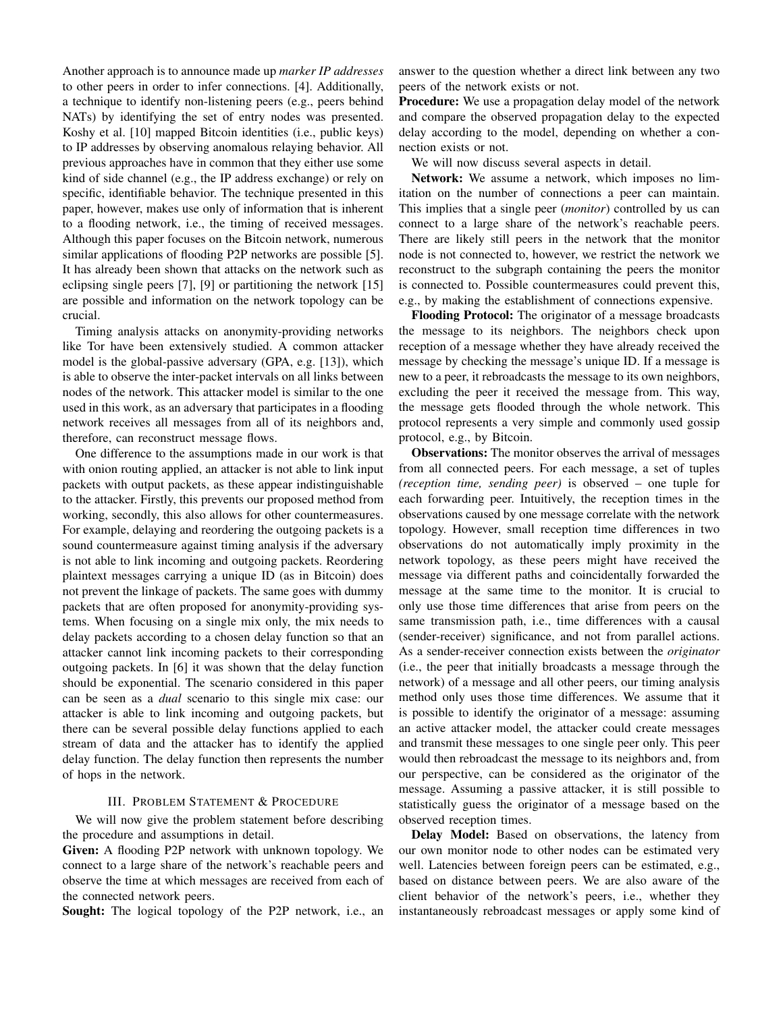Another approach is to announce made up *marker IP addresses* to other peers in order to infer connections. [4]. Additionally, a technique to identify non-listening peers (e.g., peers behind NATs) by identifying the set of entry nodes was presented. Koshy et al. [10] mapped Bitcoin identities (i.e., public keys) to IP addresses by observing anomalous relaying behavior. All previous approaches have in common that they either use some kind of side channel (e.g., the IP address exchange) or rely on specific, identifiable behavior. The technique presented in this paper, however, makes use only of information that is inherent to a flooding network, i.e., the timing of received messages. Although this paper focuses on the Bitcoin network, numerous similar applications of flooding P2P networks are possible [5]. It has already been shown that attacks on the network such as eclipsing single peers [7], [9] or partitioning the network [15] are possible and information on the network topology can be crucial.

Timing analysis attacks on anonymity-providing networks like Tor have been extensively studied. A common attacker model is the global-passive adversary (GPA, e.g. [13]), which is able to observe the inter-packet intervals on all links between nodes of the network. This attacker model is similar to the one used in this work, as an adversary that participates in a flooding network receives all messages from all of its neighbors and, therefore, can reconstruct message flows.

One difference to the assumptions made in our work is that with onion routing applied, an attacker is not able to link input packets with output packets, as these appear indistinguishable to the attacker. Firstly, this prevents our proposed method from working, secondly, this also allows for other countermeasures. For example, delaying and reordering the outgoing packets is a sound countermeasure against timing analysis if the adversary is not able to link incoming and outgoing packets. Reordering plaintext messages carrying a unique ID (as in Bitcoin) does not prevent the linkage of packets. The same goes with dummy packets that are often proposed for anonymity-providing systems. When focusing on a single mix only, the mix needs to delay packets according to a chosen delay function so that an attacker cannot link incoming packets to their corresponding outgoing packets. In [6] it was shown that the delay function should be exponential. The scenario considered in this paper can be seen as a *dual* scenario to this single mix case: our attacker is able to link incoming and outgoing packets, but there can be several possible delay functions applied to each stream of data and the attacker has to identify the applied delay function. The delay function then represents the number of hops in the network.

# III. PROBLEM STATEMENT & PROCEDURE

We will now give the problem statement before describing the procedure and assumptions in detail.

Given: A flooding P2P network with unknown topology. We connect to a large share of the network's reachable peers and observe the time at which messages are received from each of the connected network peers.

Sought: The logical topology of the P2P network, i.e., an

answer to the question whether a direct link between any two peers of the network exists or not.

Procedure: We use a propagation delay model of the network and compare the observed propagation delay to the expected delay according to the model, depending on whether a connection exists or not.

We will now discuss several aspects in detail.

Network: We assume a network, which imposes no limitation on the number of connections a peer can maintain. This implies that a single peer (*monitor*) controlled by us can connect to a large share of the network's reachable peers. There are likely still peers in the network that the monitor node is not connected to, however, we restrict the network we reconstruct to the subgraph containing the peers the monitor is connected to. Possible countermeasures could prevent this, e.g., by making the establishment of connections expensive.

Flooding Protocol: The originator of a message broadcasts the message to its neighbors. The neighbors check upon reception of a message whether they have already received the message by checking the message's unique ID. If a message is new to a peer, it rebroadcasts the message to its own neighbors, excluding the peer it received the message from. This way, the message gets flooded through the whole network. This protocol represents a very simple and commonly used gossip protocol, e.g., by Bitcoin.

Observations: The monitor observes the arrival of messages from all connected peers. For each message, a set of tuples *(reception time, sending peer)* is observed – one tuple for each forwarding peer. Intuitively, the reception times in the observations caused by one message correlate with the network topology. However, small reception time differences in two observations do not automatically imply proximity in the network topology, as these peers might have received the message via different paths and coincidentally forwarded the message at the same time to the monitor. It is crucial to only use those time differences that arise from peers on the same transmission path, i.e., time differences with a causal (sender-receiver) significance, and not from parallel actions. As a sender-receiver connection exists between the *originator* (i.e., the peer that initially broadcasts a message through the network) of a message and all other peers, our timing analysis method only uses those time differences. We assume that it is possible to identify the originator of a message: assuming an active attacker model, the attacker could create messages and transmit these messages to one single peer only. This peer would then rebroadcast the message to its neighbors and, from our perspective, can be considered as the originator of the message. Assuming a passive attacker, it is still possible to statistically guess the originator of a message based on the observed reception times.

Delay Model: Based on observations, the latency from our own monitor node to other nodes can be estimated very well. Latencies between foreign peers can be estimated, e.g., based on distance between peers. We are also aware of the client behavior of the network's peers, i.e., whether they instantaneously rebroadcast messages or apply some kind of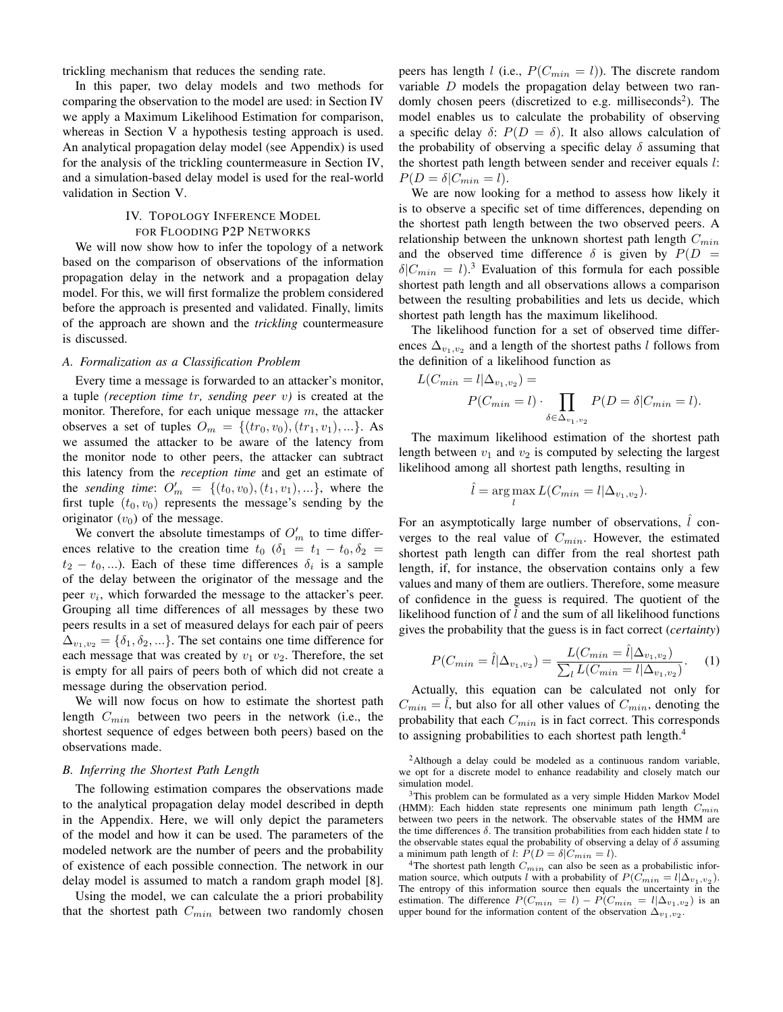trickling mechanism that reduces the sending rate.

In this paper, two delay models and two methods for comparing the observation to the model are used: in Section IV we apply a Maximum Likelihood Estimation for comparison, whereas in Section V a hypothesis testing approach is used. An analytical propagation delay model (see Appendix) is used for the analysis of the trickling countermeasure in Section IV, and a simulation-based delay model is used for the real-world validation in Section V.

# IV. TOPOLOGY INFERENCE MODEL FOR FLOODING P2P NETWORKS

We will now show how to infer the topology of a network based on the comparison of observations of the information propagation delay in the network and a propagation delay model. For this, we will first formalize the problem considered before the approach is presented and validated. Finally, limits of the approach are shown and the *trickling* countermeasure is discussed.

#### *A. Formalization as a Classification Problem*

Every time a message is forwarded to an attacker's monitor, a tuple *(reception time* tr*, sending peer* v*)* is created at the monitor. Therefore, for each unique message  $m$ , the attacker observes a set of tuples  $O_m = \{ (tr_0, v_0), (tr_1, v_1), ... \}$ . As we assumed the attacker to be aware of the latency from the monitor node to other peers, the attacker can subtract this latency from the *reception time* and get an estimate of the *sending time*:  $O'_m = \{(t_0, v_0), (t_1, v_1), ...\}$ , where the first tuple  $(t_0, v_0)$  represents the message's sending by the originator  $(v_0)$  of the message.

We convert the absolute timestamps of  $O'_m$  to time differences relative to the creation time  $t_0$  ( $\delta_1 = t_1 - t_0$ ,  $\delta_2 =$  $t_2 - t_0, \ldots$ ). Each of these time differences  $\delta_i$  is a sample of the delay between the originator of the message and the peer  $v_i$ , which forwarded the message to the attacker's peer. Grouping all time differences of all messages by these two peers results in a set of measured delays for each pair of peers  $\Delta_{v_1,v_2} = {\delta_1, \delta_2,...}$ . The set contains one time difference for each message that was created by  $v_1$  or  $v_2$ . Therefore, the set is empty for all pairs of peers both of which did not create a message during the observation period.

We will now focus on how to estimate the shortest path length  $C_{min}$  between two peers in the network (i.e., the shortest sequence of edges between both peers) based on the observations made.

#### *B. Inferring the Shortest Path Length*

The following estimation compares the observations made to the analytical propagation delay model described in depth in the Appendix. Here, we will only depict the parameters of the model and how it can be used. The parameters of the modeled network are the number of peers and the probability of existence of each possible connection. The network in our delay model is assumed to match a random graph model [8].

Using the model, we can calculate the a priori probability that the shortest path  $C_{min}$  between two randomly chosen peers has length *l* (i.e.,  $P(C_{min} = l)$ ). The discrete random variable  $D$  models the propagation delay between two randomly chosen peers (discretized to e.g. milliseconds<sup>2</sup>). The model enables us to calculate the probability of observing a specific delay  $\delta$ :  $P(D = \delta)$ . It also allows calculation of the probability of observing a specific delay  $\delta$  assuming that the shortest path length between sender and receiver equals l:  $P(D = \delta | C_{min} = l).$ 

We are now looking for a method to assess how likely it is to observe a specific set of time differences, depending on the shortest path length between the two observed peers. A relationship between the unknown shortest path length  $C_{min}$ and the observed time difference  $\delta$  is given by  $P(D =$  $\delta|C_{min} = l$ ).<sup>3</sup> Evaluation of this formula for each possible shortest path length and all observations allows a comparison between the resulting probabilities and lets us decide, which shortest path length has the maximum likelihood.

The likelihood function for a set of observed time differences  $\Delta_{v_1,v_2}$  and a length of the shortest paths l follows from the definition of a likelihood function as

$$
L(C_{min} = l | \Delta_{v_1, v_2}) =
$$
  
 
$$
P(C_{min} = l) \cdot \prod_{\delta \in \Delta_{v_1, v_2}} P(D = \delta | C_{min} = l).
$$

The maximum likelihood estimation of the shortest path length between  $v_1$  and  $v_2$  is computed by selecting the largest likelihood among all shortest path lengths, resulting in

$$
\hat{l} = \underset{l}{\arg \max} L(C_{min} = l | \Delta_{v_1, v_2}).
$$

For an asymptotically large number of observations,  $\hat{l}$  converges to the real value of  $C_{min}$ . However, the estimated shortest path length can differ from the real shortest path length, if, for instance, the observation contains only a few values and many of them are outliers. Therefore, some measure of confidence in the guess is required. The quotient of the likelihood function of  $l$  and the sum of all likelihood functions gives the probability that the guess is in fact correct (*certainty*)

$$
P(C_{min} = \hat{l} | \Delta_{v_1, v_2}) = \frac{L(C_{min} = \hat{l} | \Delta_{v_1, v_2})}{\sum_l L(C_{min} = l | \Delta_{v_1, v_2})}.
$$
 (1)

Actually, this equation can be calculated not only for  $C_{min} = l$ , but also for all other values of  $C_{min}$ , denoting the probability that each  $C_{min}$  is in fact correct. This corresponds to assigning probabilities to each shortest path length.<sup>4</sup>

<sup>2</sup>Although a delay could be modeled as a continuous random variable, we opt for a discrete model to enhance readability and closely match our simulation model.

<sup>3</sup>This problem can be formulated as a very simple Hidden Markov Model (HMM): Each hidden state represents one minimum path length  $C_{min}$ between two peers in the network. The observable states of the HMM are the time differences  $\delta$ . The transition probabilities from each hidden state l to the observable states equal the probability of observing a delay of  $\delta$  assuming a minimum path length of l:  $P(D = \delta | C_{min} = l)$ .

<sup>4</sup>The shortest path length  $C_{min}$  can also be seen as a probabilistic information source, which outputs l with a probability of  $P(C_{min} = l | \Delta_{v_1, v_2})$ . The entropy of this information source then equals the uncertainty in the estimation. The difference  $P(C_{min} = l) - P(C_{min} = l | \Delta_{v_1, v_2})$  is an upper bound for the information content of the observation  $\Delta_{v_1,v_2}$ .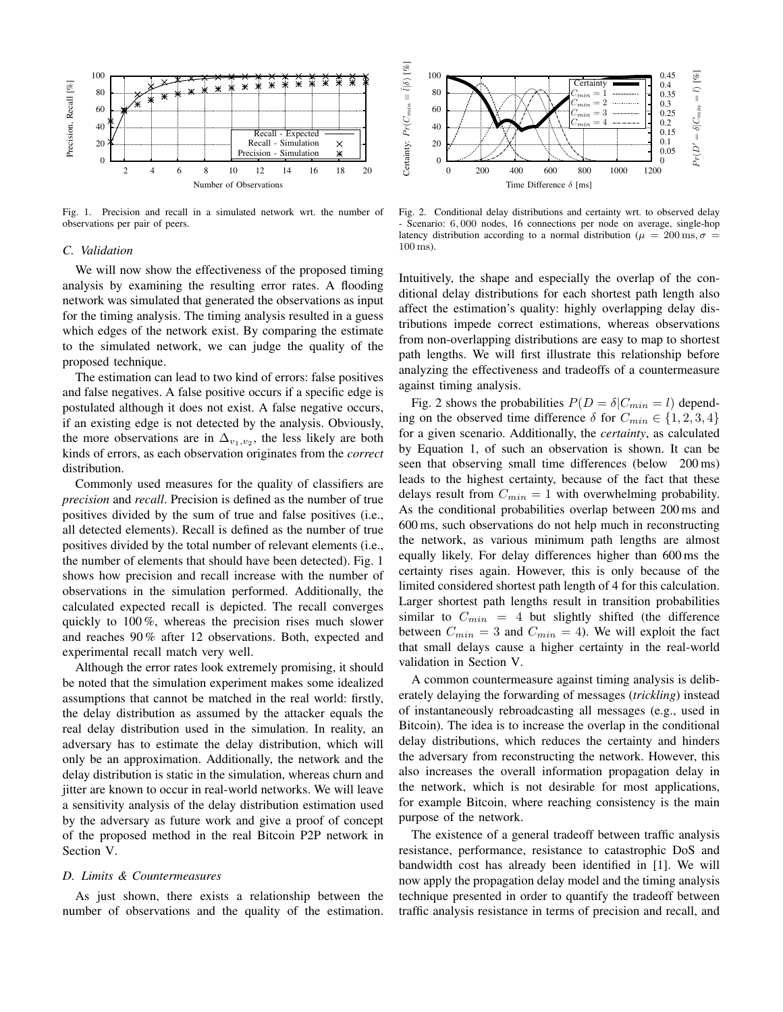

Fig. 1. Precision and recall in a simulated network wrt. the number of observations per pair of peers.

## *C. Validation*

We will now show the effectiveness of the proposed timing analysis by examining the resulting error rates. A flooding network was simulated that generated the observations as input for the timing analysis. The timing analysis resulted in a guess which edges of the network exist. By comparing the estimate to the simulated network, we can judge the quality of the proposed technique.

The estimation can lead to two kind of errors: false positives and false negatives. A false positive occurs if a specific edge is postulated although it does not exist. A false negative occurs, if an existing edge is not detected by the analysis. Obviously, the more observations are in  $\Delta_{v_1,v_2}$ , the less likely are both kinds of errors, as each observation originates from the *correct* distribution.

Commonly used measures for the quality of classifiers are *precision* and *recall*. Precision is defined as the number of true positives divided by the sum of true and false positives (i.e., all detected elements). Recall is defined as the number of true positives divided by the total number of relevant elements (i.e., the number of elements that should have been detected). Fig. 1 shows how precision and recall increase with the number of observations in the simulation performed. Additionally, the calculated expected recall is depicted. The recall converges quickly to 100 %, whereas the precision rises much slower and reaches 90 % after 12 observations. Both, expected and experimental recall match very well.

Although the error rates look extremely promising, it should be noted that the simulation experiment makes some idealized assumptions that cannot be matched in the real world: firstly, the delay distribution as assumed by the attacker equals the real delay distribution used in the simulation. In reality, an adversary has to estimate the delay distribution, which will only be an approximation. Additionally, the network and the delay distribution is static in the simulation, whereas churn and jitter are known to occur in real-world networks. We will leave a sensitivity analysis of the delay distribution estimation used by the adversary as future work and give a proof of concept of the proposed method in the real Bitcoin P2P network in Section V.

### *D. Limits & Countermeasures*

As just shown, there exists a relationship between the number of observations and the quality of the estimation.



Fig. 2. Conditional delay distributions and certainty wrt. to observed delay - Scenario: 6, 000 nodes, 16 connections per node on average, single-hop latency distribution according to a normal distribution ( $\mu = 200 \,\text{ms}, \sigma =$ 100 ms).

Intuitively, the shape and especially the overlap of the conditional delay distributions for each shortest path length also affect the estimation's quality: highly overlapping delay distributions impede correct estimations, whereas observations from non-overlapping distributions are easy to map to shortest path lengths. We will first illustrate this relationship before analyzing the effectiveness and tradeoffs of a countermeasure against timing analysis.

Fig. 2 shows the probabilities  $P(D = \delta | C_{min} = l)$  depending on the observed time difference  $\delta$  for  $C_{min} \in \{1, 2, 3, 4\}$ for a given scenario. Additionally, the *certainty*, as calculated by Equation 1, of such an observation is shown. It can be seen that observing small time differences (below 200 ms) leads to the highest certainty, because of the fact that these delays result from  $C_{min} = 1$  with overwhelming probability. As the conditional probabilities overlap between 200 ms and 600 ms, such observations do not help much in reconstructing the network, as various minimum path lengths are almost equally likely. For delay differences higher than 600 ms the certainty rises again. However, this is only because of the limited considered shortest path length of 4 for this calculation. Larger shortest path lengths result in transition probabilities similar to  $C_{min}$  = 4 but slightly shifted (the difference between  $C_{min} = 3$  and  $C_{min} = 4$ ). We will exploit the fact that small delays cause a higher certainty in the real-world validation in Section V.

A common countermeasure against timing analysis is deliberately delaying the forwarding of messages (*trickling*) instead of instantaneously rebroadcasting all messages (e.g., used in Bitcoin). The idea is to increase the overlap in the conditional delay distributions, which reduces the certainty and hinders the adversary from reconstructing the network. However, this also increases the overall information propagation delay in the network, which is not desirable for most applications, for example Bitcoin, where reaching consistency is the main purpose of the network.

The existence of a general tradeoff between traffic analysis resistance, performance, resistance to catastrophic DoS and bandwidth cost has already been identified in [1]. We will now apply the propagation delay model and the timing analysis technique presented in order to quantify the tradeoff between traffic analysis resistance in terms of precision and recall, and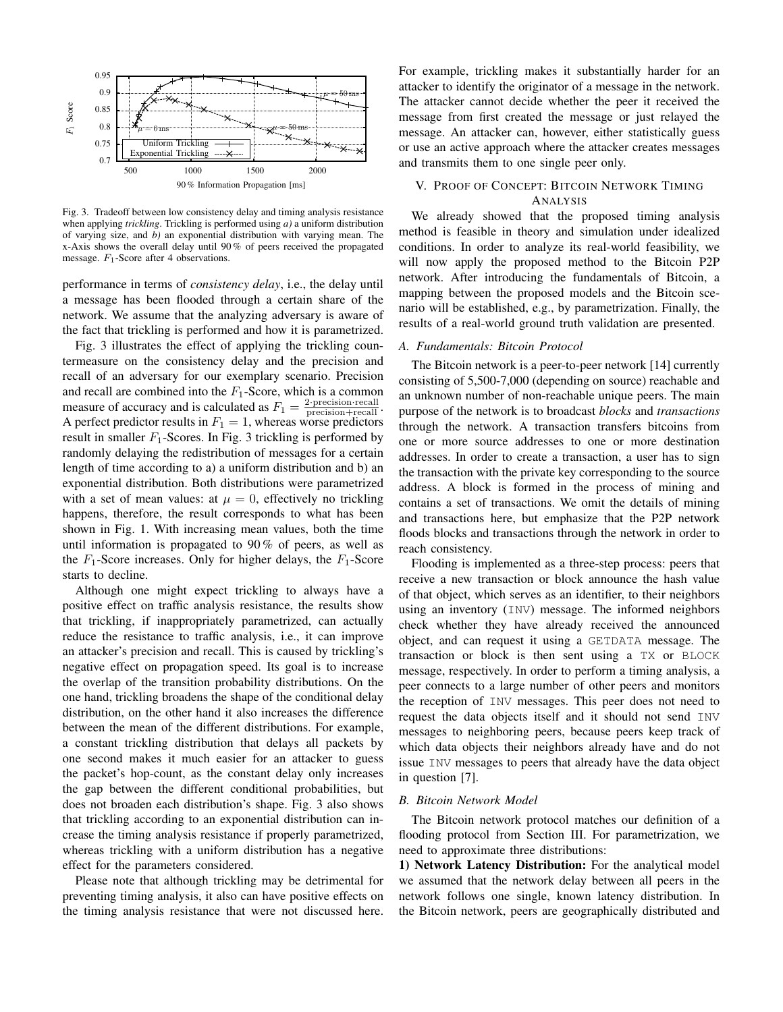

Fig. 3. Tradeoff between low consistency delay and timing analysis resistance when applying *trickling*. Trickling is performed using *a)* a uniform distribution of varying size, and *b)* an exponential distribution with varying mean. The x-Axis shows the overall delay until 90 % of peers received the propagated message.  $F_1$ -Score after 4 observations.

performance in terms of *consistency delay*, i.e., the delay until a message has been flooded through a certain share of the network. We assume that the analyzing adversary is aware of the fact that trickling is performed and how it is parametrized.

Fig. 3 illustrates the effect of applying the trickling countermeasure on the consistency delay and the precision and recall of an adversary for our exemplary scenario. Precision and recall are combined into the  $F_1$ -Score, which is a common measure of accuracy and is calculated as  $F_1 = \frac{2 \cdot \text{precision} \cdot \text{recall}}{\text{precision} + \text{recall}}$ . A perfect predictor results in  $F_1 = 1$ , whereas worse predictors result in smaller  $F_1$ -Scores. In Fig. 3 trickling is performed by randomly delaying the redistribution of messages for a certain length of time according to a) a uniform distribution and b) an exponential distribution. Both distributions were parametrized with a set of mean values: at  $\mu = 0$ , effectively no trickling happens, therefore, the result corresponds to what has been shown in Fig. 1. With increasing mean values, both the time until information is propagated to 90 % of peers, as well as the  $F_1$ -Score increases. Only for higher delays, the  $F_1$ -Score starts to decline.

Although one might expect trickling to always have a positive effect on traffic analysis resistance, the results show that trickling, if inappropriately parametrized, can actually reduce the resistance to traffic analysis, i.e., it can improve an attacker's precision and recall. This is caused by trickling's negative effect on propagation speed. Its goal is to increase the overlap of the transition probability distributions. On the one hand, trickling broadens the shape of the conditional delay distribution, on the other hand it also increases the difference between the mean of the different distributions. For example, a constant trickling distribution that delays all packets by one second makes it much easier for an attacker to guess the packet's hop-count, as the constant delay only increases the gap between the different conditional probabilities, but does not broaden each distribution's shape. Fig. 3 also shows that trickling according to an exponential distribution can increase the timing analysis resistance if properly parametrized, whereas trickling with a uniform distribution has a negative effect for the parameters considered.

Please note that although trickling may be detrimental for preventing timing analysis, it also can have positive effects on the timing analysis resistance that were not discussed here. For example, trickling makes it substantially harder for an attacker to identify the originator of a message in the network. The attacker cannot decide whether the peer it received the message from first created the message or just relayed the message. An attacker can, however, either statistically guess or use an active approach where the attacker creates messages and transmits them to one single peer only.

# V. PROOF OF CONCEPT: BITCOIN NETWORK TIMING ANALYSIS

We already showed that the proposed timing analysis method is feasible in theory and simulation under idealized conditions. In order to analyze its real-world feasibility, we will now apply the proposed method to the Bitcoin P2P network. After introducing the fundamentals of Bitcoin, a mapping between the proposed models and the Bitcoin scenario will be established, e.g., by parametrization. Finally, the results of a real-world ground truth validation are presented.

# *A. Fundamentals: Bitcoin Protocol*

The Bitcoin network is a peer-to-peer network [14] currently consisting of 5,500-7,000 (depending on source) reachable and an unknown number of non-reachable unique peers. The main purpose of the network is to broadcast *blocks* and *transactions* through the network. A transaction transfers bitcoins from one or more source addresses to one or more destination addresses. In order to create a transaction, a user has to sign the transaction with the private key corresponding to the source address. A block is formed in the process of mining and contains a set of transactions. We omit the details of mining and transactions here, but emphasize that the P2P network floods blocks and transactions through the network in order to reach consistency.

Flooding is implemented as a three-step process: peers that receive a new transaction or block announce the hash value of that object, which serves as an identifier, to their neighbors using an inventory (INV) message. The informed neighbors check whether they have already received the announced object, and can request it using a GETDATA message. The transaction or block is then sent using a TX or BLOCK message, respectively. In order to perform a timing analysis, a peer connects to a large number of other peers and monitors the reception of INV messages. This peer does not need to request the data objects itself and it should not send INV messages to neighboring peers, because peers keep track of which data objects their neighbors already have and do not issue INV messages to peers that already have the data object in question [7].

## *B. Bitcoin Network Model*

The Bitcoin network protocol matches our definition of a flooding protocol from Section III. For parametrization, we need to approximate three distributions:

1) Network Latency Distribution: For the analytical model we assumed that the network delay between all peers in the network follows one single, known latency distribution. In the Bitcoin network, peers are geographically distributed and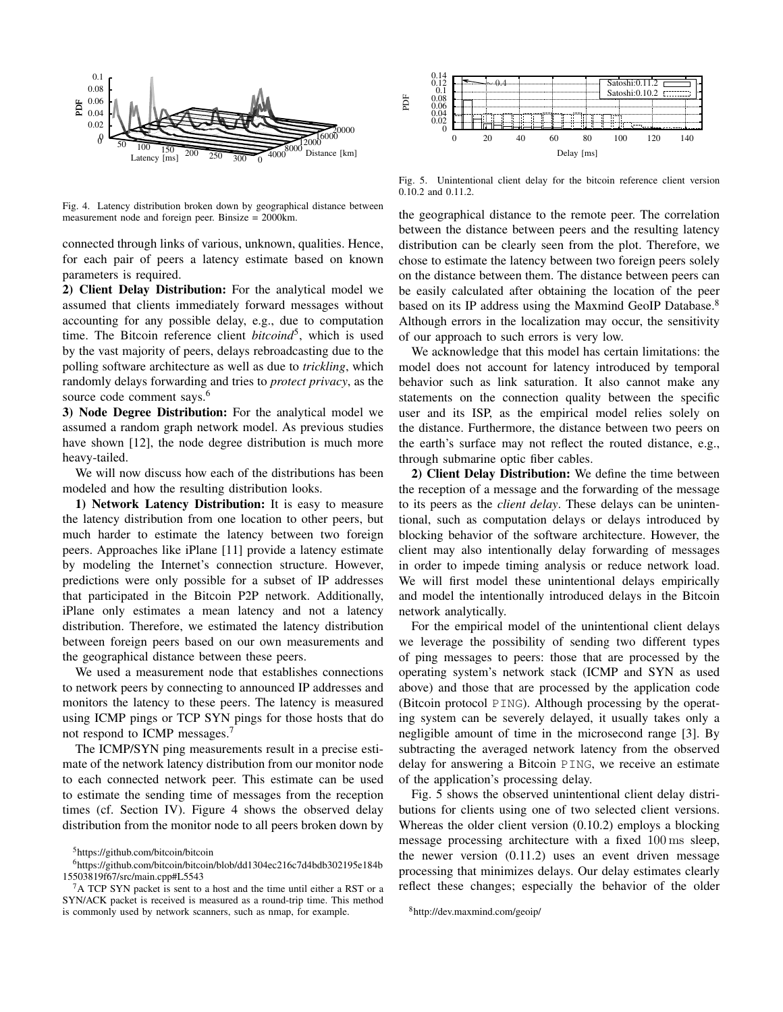

Fig. 4. Latency distribution broken down by geographical distance between measurement node and foreign peer. Binsize = 2000km.

connected through links of various, unknown, qualities. Hence, for each pair of peers a latency estimate based on known parameters is required.

2) Client Delay Distribution: For the analytical model we assumed that clients immediately forward messages without accounting for any possible delay, e.g., due to computation time. The Bitcoin reference client *bitcoind*<sup>5</sup>, which is used by the vast majority of peers, delays rebroadcasting due to the polling software architecture as well as due to *trickling*, which randomly delays forwarding and tries to *protect privacy*, as the source code comment says.<sup>6</sup>

3) Node Degree Distribution: For the analytical model we assumed a random graph network model. As previous studies have shown [12], the node degree distribution is much more heavy-tailed.

We will now discuss how each of the distributions has been modeled and how the resulting distribution looks.

1) Network Latency Distribution: It is easy to measure the latency distribution from one location to other peers, but much harder to estimate the latency between two foreign peers. Approaches like iPlane [11] provide a latency estimate by modeling the Internet's connection structure. However, predictions were only possible for a subset of IP addresses that participated in the Bitcoin P2P network. Additionally, iPlane only estimates a mean latency and not a latency distribution. Therefore, we estimated the latency distribution between foreign peers based on our own measurements and the geographical distance between these peers.

We used a measurement node that establishes connections to network peers by connecting to announced IP addresses and monitors the latency to these peers. The latency is measured using ICMP pings or TCP SYN pings for those hosts that do not respond to ICMP messages.<sup>7</sup>

The ICMP/SYN ping measurements result in a precise estimate of the network latency distribution from our monitor node to each connected network peer. This estimate can be used to estimate the sending time of messages from the reception times (cf. Section IV). Figure 4 shows the observed delay distribution from the monitor node to all peers broken down by



Fig. 5. Unintentional client delay for the bitcoin reference client version 0.10.2 and 0.11.2.

the geographical distance to the remote peer. The correlation between the distance between peers and the resulting latency distribution can be clearly seen from the plot. Therefore, we chose to estimate the latency between two foreign peers solely on the distance between them. The distance between peers can be easily calculated after obtaining the location of the peer based on its IP address using the Maxmind GeoIP Database.<sup>8</sup> Although errors in the localization may occur, the sensitivity of our approach to such errors is very low.

We acknowledge that this model has certain limitations: the model does not account for latency introduced by temporal behavior such as link saturation. It also cannot make any statements on the connection quality between the specific user and its ISP, as the empirical model relies solely on the distance. Furthermore, the distance between two peers on the earth's surface may not reflect the routed distance, e.g., through submarine optic fiber cables.

2) Client Delay Distribution: We define the time between the reception of a message and the forwarding of the message to its peers as the *client delay*. These delays can be unintentional, such as computation delays or delays introduced by blocking behavior of the software architecture. However, the client may also intentionally delay forwarding of messages in order to impede timing analysis or reduce network load. We will first model these unintentional delays empirically and model the intentionally introduced delays in the Bitcoin network analytically.

For the empirical model of the unintentional client delays we leverage the possibility of sending two different types of ping messages to peers: those that are processed by the operating system's network stack (ICMP and SYN as used above) and those that are processed by the application code (Bitcoin protocol PING). Although processing by the operating system can be severely delayed, it usually takes only a negligible amount of time in the microsecond range [3]. By subtracting the averaged network latency from the observed delay for answering a Bitcoin PING, we receive an estimate of the application's processing delay.

Fig. 5 shows the observed unintentional client delay distributions for clients using one of two selected client versions. Whereas the older client version (0.10.2) employs a blocking message processing architecture with a fixed 100 ms sleep, the newer version (0.11.2) uses an event driven message processing that minimizes delays. Our delay estimates clearly reflect these changes; especially the behavior of the older

<sup>5</sup>https://github.com/bitcoin/bitcoin

<sup>6</sup>https://github.com/bitcoin/bitcoin/blob/dd1304ec216c7d4bdb302195e184b 15503819f67/src/main.cpp#L5543

 ${}^{7}$ A TCP SYN packet is sent to a host and the time until either a RST or a SYN/ACK packet is received is measured as a round-trip time. This method is commonly used by network scanners, such as nmap, for example.

<sup>8</sup>http://dev.maxmind.com/geoip/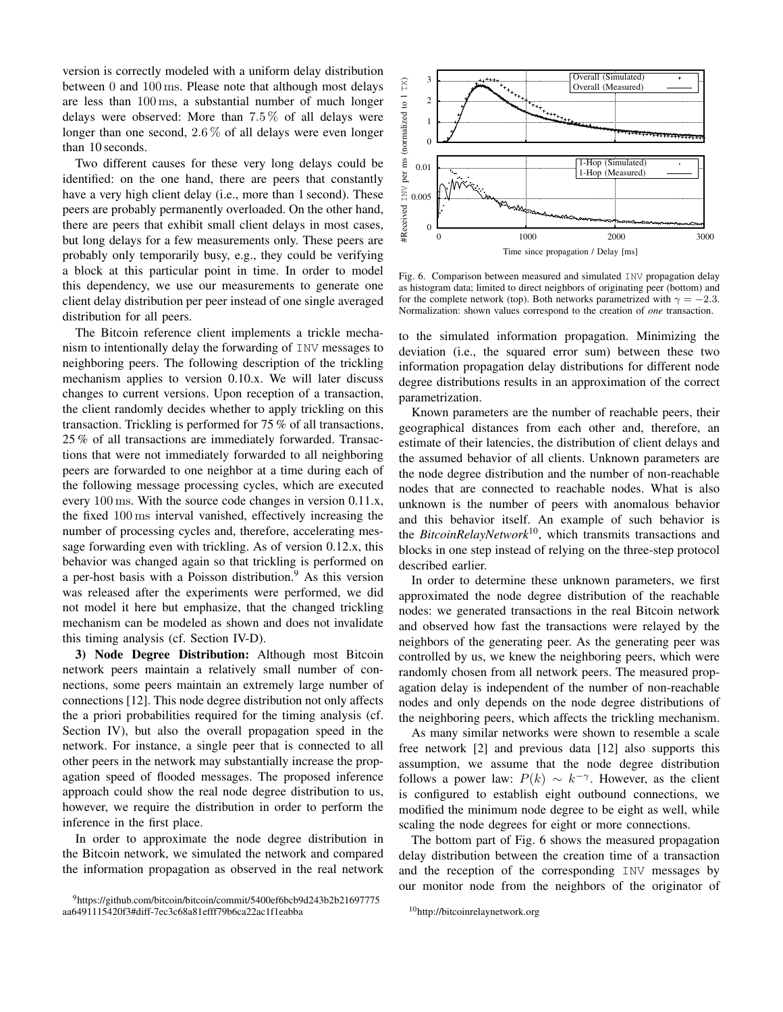version is correctly modeled with a uniform delay distribution between 0 and 100 ms. Please note that although most delays are less than 100 ms, a substantial number of much longer delays were observed: More than  $7.5\%$  of all delays were longer than one second, 2.6% of all delays were even longer than 10 seconds.

Two different causes for these very long delays could be identified: on the one hand, there are peers that constantly have a very high client delay (i.e., more than 1 second). These peers are probably permanently overloaded. On the other hand, there are peers that exhibit small client delays in most cases, but long delays for a few measurements only. These peers are probably only temporarily busy, e.g., they could be verifying a block at this particular point in time. In order to model this dependency, we use our measurements to generate one client delay distribution per peer instead of one single averaged distribution for all peers.

The Bitcoin reference client implements a trickle mechanism to intentionally delay the forwarding of INV messages to neighboring peers. The following description of the trickling mechanism applies to version 0.10.x. We will later discuss changes to current versions. Upon reception of a transaction, the client randomly decides whether to apply trickling on this transaction. Trickling is performed for 75 % of all transactions, 25 % of all transactions are immediately forwarded. Transactions that were not immediately forwarded to all neighboring peers are forwarded to one neighbor at a time during each of the following message processing cycles, which are executed every 100 ms. With the source code changes in version 0.11.x, the fixed 100 ms interval vanished, effectively increasing the number of processing cycles and, therefore, accelerating message forwarding even with trickling. As of version 0.12.x, this behavior was changed again so that trickling is performed on a per-host basis with a Poisson distribution.<sup>9</sup> As this version was released after the experiments were performed, we did not model it here but emphasize, that the changed trickling mechanism can be modeled as shown and does not invalidate this timing analysis (cf. Section IV-D).

3) Node Degree Distribution: Although most Bitcoin network peers maintain a relatively small number of connections, some peers maintain an extremely large number of connections [12]. This node degree distribution not only affects the a priori probabilities required for the timing analysis (cf. Section IV), but also the overall propagation speed in the network. For instance, a single peer that is connected to all other peers in the network may substantially increase the propagation speed of flooded messages. The proposed inference approach could show the real node degree distribution to us, however, we require the distribution in order to perform the inference in the first place.

In order to approximate the node degree distribution in the Bitcoin network, we simulated the network and compared the information propagation as observed in the real network



Fig. 6. Comparison between measured and simulated INV propagation delay as histogram data; limited to direct neighbors of originating peer (bottom) and for the complete network (top). Both networks parametrized with  $\gamma = -2.3$ . Normalization: shown values correspond to the creation of *one* transaction.

to the simulated information propagation. Minimizing the deviation (i.e., the squared error sum) between these two information propagation delay distributions for different node degree distributions results in an approximation of the correct parametrization.

Known parameters are the number of reachable peers, their geographical distances from each other and, therefore, an estimate of their latencies, the distribution of client delays and the assumed behavior of all clients. Unknown parameters are the node degree distribution and the number of non-reachable nodes that are connected to reachable nodes. What is also unknown is the number of peers with anomalous behavior and this behavior itself. An example of such behavior is the *BitcoinRelayNetwork*<sup>10</sup>, which transmits transactions and blocks in one step instead of relying on the three-step protocol described earlier.

In order to determine these unknown parameters, we first approximated the node degree distribution of the reachable nodes: we generated transactions in the real Bitcoin network and observed how fast the transactions were relayed by the neighbors of the generating peer. As the generating peer was controlled by us, we knew the neighboring peers, which were randomly chosen from all network peers. The measured propagation delay is independent of the number of non-reachable nodes and only depends on the node degree distributions of the neighboring peers, which affects the trickling mechanism.

As many similar networks were shown to resemble a scale free network [2] and previous data [12] also supports this assumption, we assume that the node degree distribution follows a power law:  $P(k) \sim k^{-\gamma}$ . However, as the client is configured to establish eight outbound connections, we modified the minimum node degree to be eight as well, while scaling the node degrees for eight or more connections.

The bottom part of Fig. 6 shows the measured propagation delay distribution between the creation time of a transaction and the reception of the corresponding INV messages by our monitor node from the neighbors of the originator of

<sup>9</sup>https://github.com/bitcoin/bitcoin/commit/5400ef6bcb9d243b2b21697775 aa6491115420f3#diff-7ec3c68a81efff79b6ca22ac1f1eabba

<sup>10</sup>http://bitcoinrelaynetwork.org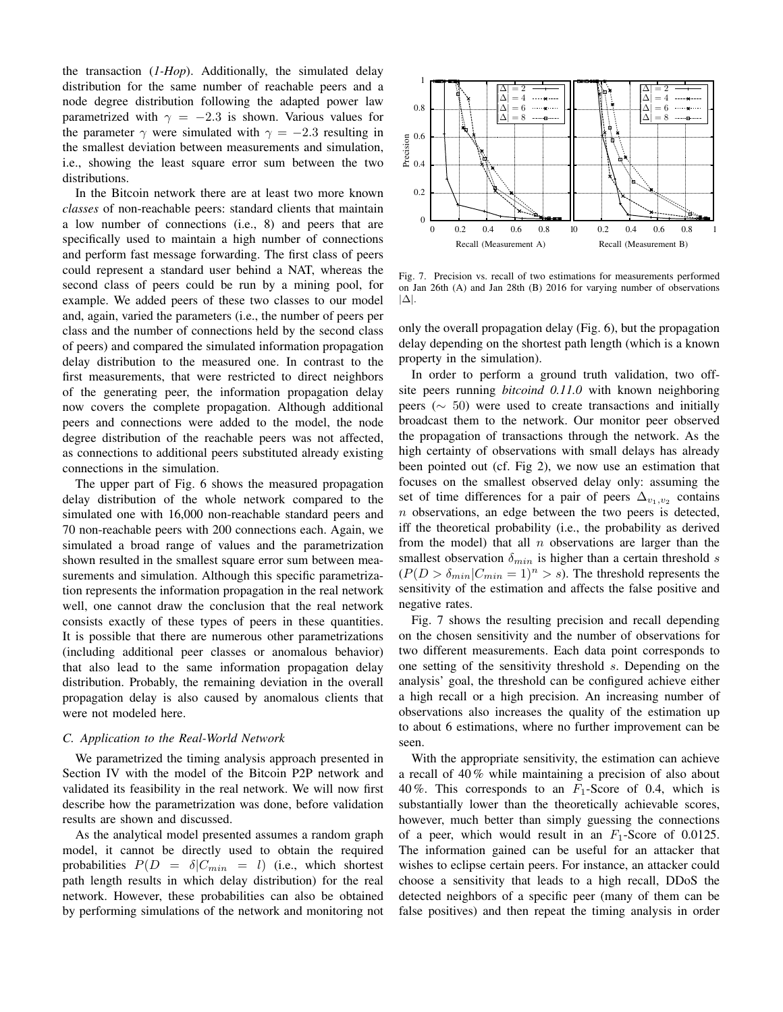the transaction (*1-Hop*). Additionally, the simulated delay distribution for the same number of reachable peers and a node degree distribution following the adapted power law parametrized with  $\gamma = -2.3$  is shown. Various values for the parameter  $\gamma$  were simulated with  $\gamma = -2.3$  resulting in the smallest deviation between measurements and simulation, i.e., showing the least square error sum between the two distributions.

In the Bitcoin network there are at least two more known *classes* of non-reachable peers: standard clients that maintain a low number of connections (i.e., 8) and peers that are specifically used to maintain a high number of connections and perform fast message forwarding. The first class of peers could represent a standard user behind a NAT, whereas the second class of peers could be run by a mining pool, for example. We added peers of these two classes to our model and, again, varied the parameters (i.e., the number of peers per class and the number of connections held by the second class of peers) and compared the simulated information propagation delay distribution to the measured one. In contrast to the first measurements, that were restricted to direct neighbors of the generating peer, the information propagation delay now covers the complete propagation. Although additional peers and connections were added to the model, the node degree distribution of the reachable peers was not affected, as connections to additional peers substituted already existing connections in the simulation.

The upper part of Fig. 6 shows the measured propagation delay distribution of the whole network compared to the simulated one with 16,000 non-reachable standard peers and 70 non-reachable peers with 200 connections each. Again, we simulated a broad range of values and the parametrization shown resulted in the smallest square error sum between measurements and simulation. Although this specific parametrization represents the information propagation in the real network well, one cannot draw the conclusion that the real network consists exactly of these types of peers in these quantities. It is possible that there are numerous other parametrizations (including additional peer classes or anomalous behavior) that also lead to the same information propagation delay distribution. Probably, the remaining deviation in the overall propagation delay is also caused by anomalous clients that were not modeled here.

# *C. Application to the Real-World Network*

We parametrized the timing analysis approach presented in Section IV with the model of the Bitcoin P2P network and validated its feasibility in the real network. We will now first describe how the parametrization was done, before validation results are shown and discussed.

As the analytical model presented assumes a random graph model, it cannot be directly used to obtain the required probabilities  $P(D = \delta | C_{min} = l)$  (i.e., which shortest path length results in which delay distribution) for the real network. However, these probabilities can also be obtained by performing simulations of the network and monitoring not



Fig. 7. Precision vs. recall of two estimations for measurements performed on Jan 26th (A) and Jan 28th (B) 2016 for varying number of observations |∆|.

only the overall propagation delay (Fig. 6), but the propagation delay depending on the shortest path length (which is a known property in the simulation).

In order to perform a ground truth validation, two offsite peers running *bitcoind 0.11.0* with known neighboring peers ( $\sim$  50) were used to create transactions and initially broadcast them to the network. Our monitor peer observed the propagation of transactions through the network. As the high certainty of observations with small delays has already been pointed out (cf. Fig 2), we now use an estimation that focuses on the smallest observed delay only: assuming the set of time differences for a pair of peers  $\Delta_{v_1,v_2}$  contains  $n$  observations, an edge between the two peers is detected, iff the theoretical probability (i.e., the probability as derived from the model) that all  $n$  observations are larger than the smallest observation  $\delta_{min}$  is higher than a certain threshold s  $(P(D > \delta_{min}|C_{min} = 1)^n > s)$ . The threshold represents the sensitivity of the estimation and affects the false positive and negative rates.

Fig. 7 shows the resulting precision and recall depending on the chosen sensitivity and the number of observations for two different measurements. Each data point corresponds to one setting of the sensitivity threshold s. Depending on the analysis' goal, the threshold can be configured achieve either a high recall or a high precision. An increasing number of observations also increases the quality of the estimation up to about 6 estimations, where no further improvement can be seen.

With the appropriate sensitivity, the estimation can achieve a recall of 40 % while maintaining a precision of also about 40 %. This corresponds to an  $F_1$ -Score of 0.4, which is substantially lower than the theoretically achievable scores, however, much better than simply guessing the connections of a peer, which would result in an  $F_1$ -Score of 0.0125. The information gained can be useful for an attacker that wishes to eclipse certain peers. For instance, an attacker could choose a sensitivity that leads to a high recall, DDoS the detected neighbors of a specific peer (many of them can be false positives) and then repeat the timing analysis in order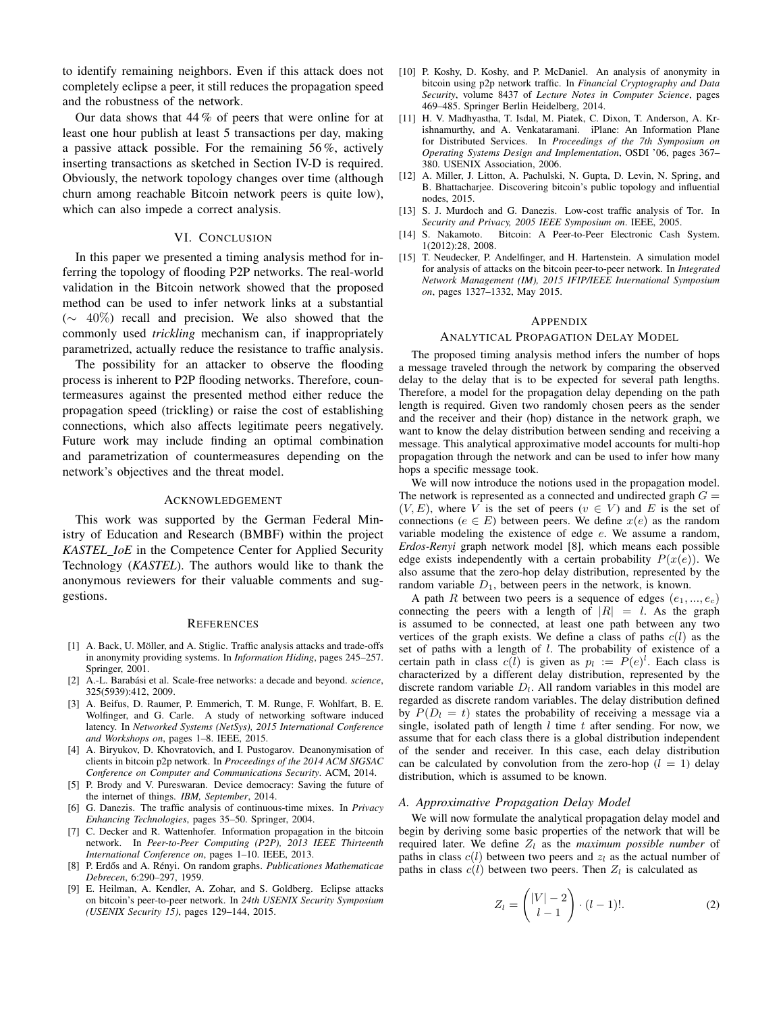to identify remaining neighbors. Even if this attack does not completely eclipse a peer, it still reduces the propagation speed and the robustness of the network.

Our data shows that 44 % of peers that were online for at least one hour publish at least 5 transactions per day, making a passive attack possible. For the remaining 56 %, actively inserting transactions as sketched in Section IV-D is required. Obviously, the network topology changes over time (although churn among reachable Bitcoin network peers is quite low), which can also impede a correct analysis.

# VI. CONCLUSION

In this paper we presented a timing analysis method for inferring the topology of flooding P2P networks. The real-world validation in the Bitcoin network showed that the proposed method can be used to infer network links at a substantial (∼ 40%) recall and precision. We also showed that the commonly used *trickling* mechanism can, if inappropriately parametrized, actually reduce the resistance to traffic analysis.

The possibility for an attacker to observe the flooding process is inherent to P2P flooding networks. Therefore, countermeasures against the presented method either reduce the propagation speed (trickling) or raise the cost of establishing connections, which also affects legitimate peers negatively. Future work may include finding an optimal combination and parametrization of countermeasures depending on the network's objectives and the threat model.

#### ACKNOWLEDGEMENT

This work was supported by the German Federal Ministry of Education and Research (BMBF) within the project *KASTEL IoE* in the Competence Center for Applied Security Technology (*KASTEL*). The authors would like to thank the anonymous reviewers for their valuable comments and suggestions.

#### **REFERENCES**

- [1] A. Back, U. Möller, and A. Stiglic. Traffic analysis attacks and trade-offs in anonymity providing systems. In *Information Hiding*, pages 245–257. Springer, 2001.
- [2] A.-L. Barabási et al. Scale-free networks: a decade and beyond. science, 325(5939):412, 2009.
- [3] A. Beifus, D. Raumer, P. Emmerich, T. M. Runge, F. Wohlfart, B. E. Wolfinger, and G. Carle. A study of networking software induced latency. In *Networked Systems (NetSys), 2015 International Conference and Workshops on*, pages 1–8. IEEE, 2015.
- [4] A. Biryukov, D. Khovratovich, and I. Pustogarov. Deanonymisation of clients in bitcoin p2p network. In *Proceedings of the 2014 ACM SIGSAC Conference on Computer and Communications Security*. ACM, 2014.
- [5] P. Brody and V. Pureswaran. Device democracy: Saving the future of the internet of things. *IBM, September*, 2014.
- [6] G. Danezis. The traffic analysis of continuous-time mixes. In *Privacy Enhancing Technologies*, pages 35–50. Springer, 2004.
- [7] C. Decker and R. Wattenhofer. Information propagation in the bitcoin network. In *Peer-to-Peer Computing (P2P), 2013 IEEE Thirteenth International Conference on*, pages 1–10. IEEE, 2013.
- [8] P. Erdős and A. Rényi. On random graphs. Publicationes Mathematicae *Debrecen*, 6:290–297, 1959.
- [9] E. Heilman, A. Kendler, A. Zohar, and S. Goldberg. Eclipse attacks on bitcoin's peer-to-peer network. In *24th USENIX Security Symposium (USENIX Security 15)*, pages 129–144, 2015.
- [10] P. Koshy, D. Koshy, and P. McDaniel. An analysis of anonymity in bitcoin using p2p network traffic. In *Financial Cryptography and Data Security*, volume 8437 of *Lecture Notes in Computer Science*, pages 469–485. Springer Berlin Heidelberg, 2014.
- [11] H. V. Madhyastha, T. Isdal, M. Piatek, C. Dixon, T. Anderson, A. Krishnamurthy, and A. Venkataramani. iPlane: An Information Plane for Distributed Services. In *Proceedings of the 7th Symposium on Operating Systems Design and Implementation*, OSDI '06, pages 367– 380. USENIX Association, 2006.
- [12] A. Miller, J. Litton, A. Pachulski, N. Gupta, D. Levin, N. Spring, and B. Bhattacharjee. Discovering bitcoin's public topology and influential nodes, 2015.
- [13] S. J. Murdoch and G. Danezis. Low-cost traffic analysis of Tor. In *Security and Privacy, 2005 IEEE Symposium on*. IEEE, 2005.
- [14] S. Nakamoto. Bitcoin: A Peer-to-Peer Electronic Cash System. 1(2012):28, 2008.
- [15] T. Neudecker, P. Andelfinger, and H. Hartenstein. A simulation model for analysis of attacks on the bitcoin peer-to-peer network. In *Integrated Network Management (IM), 2015 IFIP/IEEE International Symposium on*, pages 1327–1332, May 2015.

#### APPENDIX

#### ANALYTICAL PROPAGATION DELAY MODEL

The proposed timing analysis method infers the number of hops a message traveled through the network by comparing the observed delay to the delay that is to be expected for several path lengths. Therefore, a model for the propagation delay depending on the path length is required. Given two randomly chosen peers as the sender and the receiver and their (hop) distance in the network graph, we want to know the delay distribution between sending and receiving a message. This analytical approximative model accounts for multi-hop propagation through the network and can be used to infer how many hops a specific message took.

We will now introduce the notions used in the propagation model. The network is represented as a connected and undirected graph  $G =$  $(V, E)$ , where V is the set of peers  $(v \in V)$  and E is the set of connections ( $e \in E$ ) between peers. We define  $x(e)$  as the random variable modeling the existence of edge e. We assume a random, *Erdos-Renyi* graph network model [8], which means each possible edge exists independently with a certain probability  $P(x(e))$ . We also assume that the zero-hop delay distribution, represented by the random variable  $D_1$ , between peers in the network, is known.

A path R between two peers is a sequence of edges  $(e_1, ..., e_c)$ connecting the peers with a length of  $|R| = l$ . As the graph is assumed to be connected, at least one path between any two vertices of the graph exists. We define a class of paths  $c(l)$  as the set of paths with a length of l. The probability of existence of a certain path in class  $c(l)$  is given as  $p_l := P(e)^l$ . Each class is characterized by a different delay distribution, represented by the discrete random variable  $D_l$ . All random variables in this model are regarded as discrete random variables. The delay distribution defined by  $P(D_l = t)$  states the probability of receiving a message via a single, isolated path of length  $l$  time  $t$  after sending. For now, we assume that for each class there is a global distribution independent of the sender and receiver. In this case, each delay distribution can be calculated by convolution from the zero-hop  $(l = 1)$  delay distribution, which is assumed to be known.

#### *A. Approximative Propagation Delay Model*

We will now formulate the analytical propagation delay model and begin by deriving some basic properties of the network that will be required later. We define  $Z_l$  as the *maximum possible number* of paths in class  $c(l)$  between two peers and  $z_l$  as the actual number of paths in class  $c(l)$  between two peers. Then  $Z_l$  is calculated as

$$
Z_l = \begin{pmatrix} |V| - 2 \\ l - 1 \end{pmatrix} \cdot (l - 1)!.
$$
 (2)